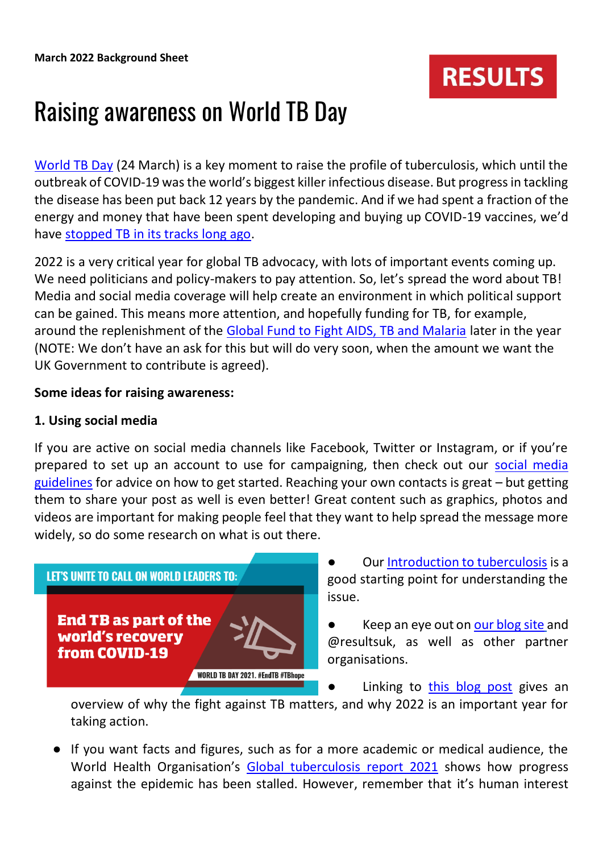

# Raising awareness on World TB Day

[World TB Day](https://www.who.int/campaigns/world-tb-day/2022) (24 March) is a key moment to raise the profile of tuberculosis, which until the outbreak of COVID-19 was the world's biggest killer infectious disease. But progress in tackling the disease has been put back 12 years by the pandemic. And if we had spent a fraction of the energy and money that have been spent developing and buying up COVID-19 vaccines, we'd have [stopped TB in its tracks long ago.](https://www.results.org.uk/blog/world-was-very-different-place-100-years-ago)

2022 is a very critical year for global TB advocacy, with lots of important events coming up. We need politicians and policy-makers to pay attention. So, let's spread the word about TB! Media and social media coverage will help create an environment in which political support can be gained. This means more attention, and hopefully funding for TB, for example, around the replenishment of the [Global Fund to Fight AIDS, TB and Malaria](about:blank) later in the year (NOTE: We don't have an ask for this but will do very soon, when the amount we want the UK Government to contribute is agreed).

### **Some ideas for raising awareness:**

### **1. Using social media**

If you are active on social media channels like Facebook, Twitter or Instagram, or if you're prepared to set up an account to use for campaigning, then check out our [social media](about:blank)  [guidelines](about:blank) for advice on how to get started. Reaching your own contacts is great – but getting them to share your post as well is even better! Great content such as graphics, photos and videos are important for making people feel that they want to help spread the message more widely, so do some research on what is out there.



Our [Introduction to tuberculosis](about:blank) is a good starting point for understanding the issue.

Keep an eye out on [our blog site](https://www.results.org.uk/blog) and @resultsuk, as well as other partner organisations.

Linking to [this blog post](about:blank) gives an

overview of why the fight against TB matters, and why 2022 is an important year for taking action.

● If you want facts and figures, such as for a more academic or medical audience, the World Health Organisation's [Global tuberculosis report 2021](about:blank) shows how progress against the epidemic has been stalled. However, remember that it's human interest